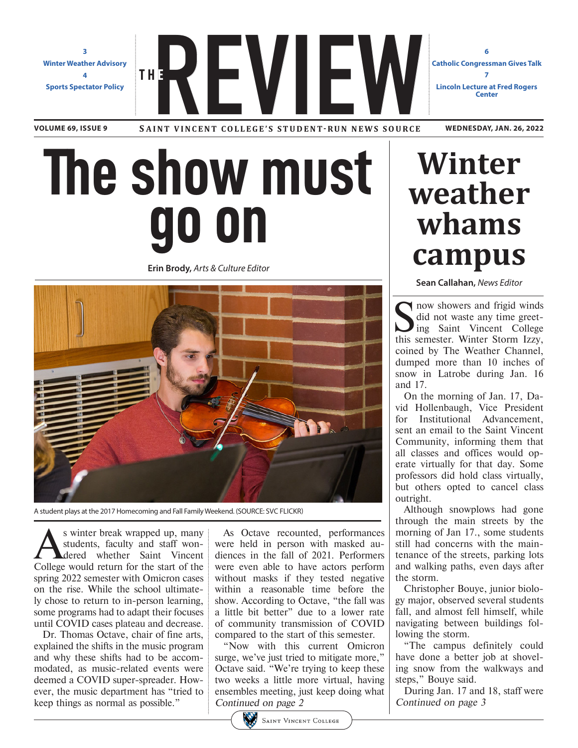

## **The show must go on**

**Erin Brody,** *Arts & Culture Editor*



A student plays at the 2017 Homecoming and Fall Family Weekend. (SOURCE: SVC FLICKR)

s winter break wrapped up, many<br>students, faculty and staff won-<br>cellered whether Saint Vincent students, faculty and staff wondered whether Saint Vincent College would return for the start of the spring 2022 semester with Omicron cases on the rise. While the school ultimately chose to return to in-person learning, some programs had to adapt their focuses until COVID cases plateau and decrease.

Dr. Thomas Octave, chair of fine arts, explained the shifts in the music program and why these shifts had to be accommodated, as music-related events were deemed a COVID super-spreader. However, the music department has "tried to keep things as normal as possible."

As Octave recounted, performances were held in person with masked audiences in the fall of 2021. Performers were even able to have actors perform without masks if they tested negative within a reasonable time before the show. According to Octave, "the fall was a little bit better" due to a lower rate of community transmission of COVID compared to the start of this semester.

"Now with this current Omicron surge, we've just tried to mitigate more," Octave said. "We're trying to keep these two weeks a little more virtual, having ensembles meeting, just keep doing what Continued on page 2



**Winter weather whams campus**

**Sean Callahan,** *News Editor*

Solid not waste any time greet-<br>ing Saint Vincent College did not waste any time greeting Saint Vincent College this semester. Winter Storm Izzy, coined by The Weather Channel, dumped more than 10 inches of snow in Latrobe during Jan. 16 and 17.

On the morning of Jan. 17, David Hollenbaugh, Vice President for Institutional Advancement. sent an email to the Saint Vincent Community, informing them that all classes and offices would operate virtually for that day. Some professors did hold class virtually, but others opted to cancel class outright.

Although snowplows had gone through the main streets by the morning of Jan 17., some students still had concerns with the maintenance of the streets, parking lots and walking paths, even days after the storm.

Christopher Bouye, junior biology major, observed several students fall, and almost fell himself, while navigating between buildings following the storm.

"The campus definitely could have done a better job at shoveling snow from the walkways and steps," Bouye said.

During Jan. 17 and 18, staff were Continued on page 3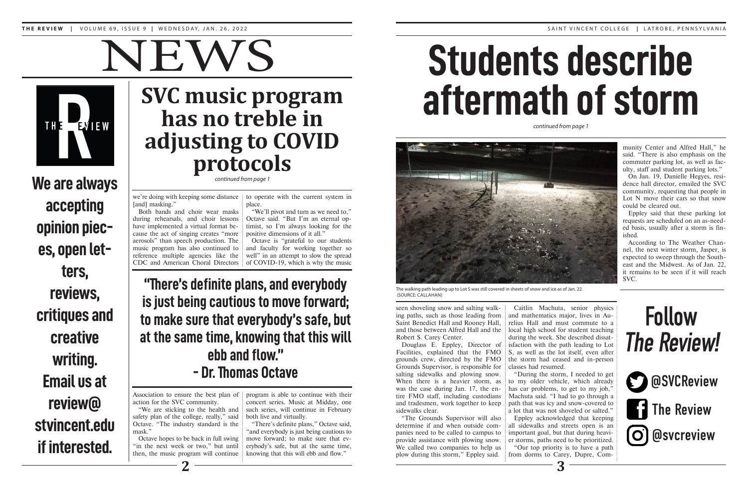Both bands and choir wear masks during rehearsals, and choir lessons have implemented a virtual format because the act of singing creates "more aerosols" than speech production. The music program has also continued to reference multiple agencies like the CDC and American Choral Directors

we're doing with keeping some distance  $\frac{1}{2}$  to operate with the current system in place.

action for the SVC community. "We are sticking to the health and

"We'll pivot and turn as we need to," Octave said. "But I'm an eternal optimist, so I'm always looking for the positive dimensions of it all."

safety plan of the college, really," said Octave. "The industry standard is the mask."

Octave hopes to be back in full swing "in the next week or two," but until then, the music program will continue

Association to ensure the best plan of program is able to continue with their concert series. Music at Midday, one such series, will continue in February both live and virtually.

Octave is "grateful to our students and faculty for working together so well" in an attempt to slow the spread of COVID-19, which is why the music

"There's definite plans," Octave said, "and everybody is just being cautious to move forward; to make sure that everybody's safe, but at the same time, knowing that this will ebb and flow."

seen shoveling snow and salting walking paths, such as those leading from Saint Benedict Hall and Rooney Hall, and those between Alfred Hall and the Robert S. Carey Center.

Douglass E. Eppley, Director of Facilities, explained that the FMO grounds crew, directed by the FMO Grounds Supervisor, is responsible for salting sidewalks and plowing snow. When there is a heavier storm, as was the case during Jan. 17, the entire FMO staff, including custodians and tradesmen, work together to keep sidewalks clear.

"The Grounds Supervisor will also determine if and when outside companies need to be called to campus to provide assistance with plowing snow. We called two companies to help us plow during this storm," Eppley said.

Caitlin Machuta, senior physics and mathematics major, lives in Aurelius Hall and must commute to a local high school for student teaching during the week. She described dissatisfaction with the path leading to Lot S, as well as the lot itself, even after the storm had ceased and in-person classes had resumed. "During the storm, I needed to get

to my older vehicle, which already has car problems, to get to my job," Machuta said. "I had to go through a path that was icy and snow-covered to a lot that was not shoveled or salted." Eppley acknowledged that keeping all sidewalks and streets open is an important goal, but that during heavier storms, paths need to be prioritized. "Our top priority is to have a path from dorms to Carey, Dupre, Com-

munity Center and Alfred Hall," he said. "There is also emphasis on the commuter parking lot, as well as faculty, staff and student parking lots."

On Jan. 19, Danielle Hegyes, residence hall director, emailed the SVC community, requesting that people in Lot N move their cars so that snow could be cleared out.

Eppley said that these parking lot requests are scheduled on an as-needed basis, usually after a storm is finished.

According to The Weather Channel, the next winter storm, Jasper, is expected to sweep through the Southeast and the Midwest. As of Jan. 22, it remains to be seen if it will reach SVC.

**3**

**2**

### **THE REVIEW |** VOLUME 69, ISSUE 9 **|** WEDNESDAY, JAN. 26, 2022

### **SVC music program has no treble in adjusting to COVID protocols**

*continued from page 1*

[and] masking."

Follow The Review! @SVCReview **The Review** @svcreview

# **Students describe aftermath of storm**



*continued from page 1*

# NEWS



The walking path leading up to Lot S was still covered in sheets of snow and ice as of Jan. 22. (SOURCE: CALLAHAN)

**We are always accepting opinion pieces, open letters, reviews, critiques and creative writing. Email us at review@ stvincent.edu if interested.**

**"There's definite plans, and everybody is just being cautious to move forward; to make sure that everybody's safe, but at the same time, knowing that this will ebb and flow." - Dr. Thomas Octave**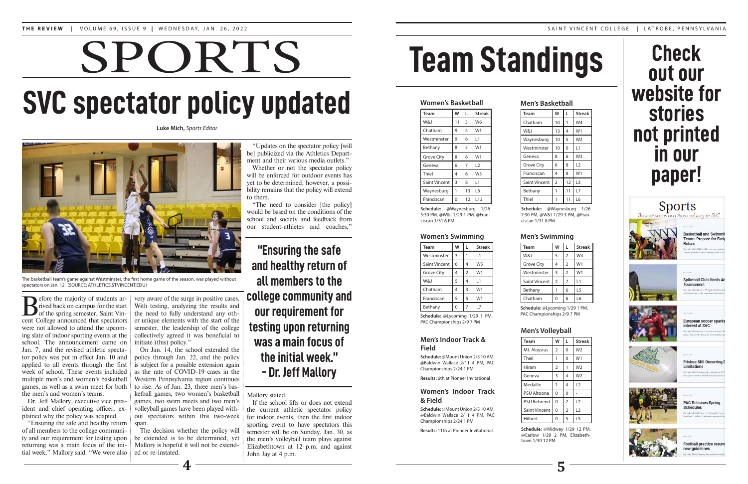**5**

**4**

Before the majority of students ar-<br>
Fived back on campus for the start<br>
of the spring semester, Saint Vinrived back on campus for the start of the spring semester, Saint Vincent College announced that spectators were not allowed to attend the upcoming slate of indoor sporting events at the school. The announcement came on Jan. 7, and the revised athletic spectator policy was put in effect Jan. 10 and applied to all events through the first week of school. These events included multiple men's and women's basketball games, as well as a swim meet for both the men's and women's teams.

very aware of the surge in positive cases. With testing, analyzing the results and the need to fully understand any other unique elements with the start of the semester, the leadership of the college collectively agreed it was beneficial to initiate (this) policy.'

Dr. Jeff Mallory, executive vice president and chief operating officer, explained why the policy was adapted.

"Ensuring the safe and healthy return span. of all members to the college community and our requirement for testing upon returning was a main focus of the initial week," Mallory said. "We were also

On Jan. 14, the school extended the policy through Jan. 22, and the policy is subject for a possible extension again as the rate of COVID-19 cases in the Western Pennsylvania region continues to rise. As of Jan. 23, three men's basketball games, two women's basketball games, two swim meets and two men's volleyball games have been played without spectators within this two-week

The decision whether the policy will be extended is to be determined, yet Mallory is hopeful it will not be extended or re-instated.

"Updates on the spectator policy [will be] publicized via the Athletics Department and their various media outlets."

Whether or not the spectator policy will be enforced for outdoor events has yet to be determined; however, a possibility remains that the policy will extend to them.

"The need to consider [the policy] would be based on the conditions of the school and society and feedback from our student-athletes and coaches,"

### Mallory stated.

If the school lifts or does not extend the current athletic spectator policy for indoor events, then the first indoor sporting event to have spectators this semester will be on Sunday, Jan. 30, as the men's volleyball team plays against Elizabethtown at 12 p.m. and against John Jay at 4 p.m.

# SPORTS

## **SVC spectator policy updated**

**Luke Mich,** *Sports Editor*



The basketball team's game against Westminster, the first home game of the season, was played without spectators on Jan. 12. (SOURCE: ATHLETICS.STVINCENT.EDU)

# **Team Standings**

 $Team<sub>1</sub>$ Chatham  $W$ &J Waynesburg Westminster Geneva Grove City Franciscan Saint Vincent **Bethany** Thiel

| Team                 | w |   | <b>Streak</b>  |
|----------------------|---|---|----------------|
| Westminster          | 3 |   | l 1            |
| <b>Saint Vincent</b> | 6 | 4 | W <sub>5</sub> |
| <b>Grove City</b>    | 4 | 2 | W1             |
| W&J                  | 5 | 4 | ا ا            |
| Chatham              | 4 | 3 | W1             |
| Franciscan           | 5 | 5 | W1             |
| Bethany              | 0 |   |                |

### **Women's Swimming**

**Schedule:** @Lycoming 1/29 1 PM, PAC Championships 2/9 7 PM

### $Team$

### Mt. Aloysius **Thiel** Hiram Geneva **Medaille** PSU Altoona PSU Behrend Saint Vincent **Hilbert**

### **Men's Indoor Track &**

**Field Schedule:** @Mount Union 2/5 10 AM, @Baldwin Wallace 2/11 4 PM, PAC Championships 2/24 1 PM

**Results:** 6th at Pioneer Invitational

### **Women's Indoor Track & Field**

**Schedule:** @Mount Union 2/5 10 AM, @Baldwin Wallace 2/11 4 PM, PAC Championships 2/24 1 PM

**Results:** 11th at Pioneer Invitational

### **Men's Basketball**

| W              | Г  | <b>Streak</b>  |
|----------------|----|----------------|
| 10             | 1  | W <sub>4</sub> |
| 13             | 4  | W1             |
| 10             | 5  | W <sub>2</sub> |
| 10             | 6  | L1             |
| 8              | 6  | W <sub>3</sub> |
| 6              | 8  | L <sub>2</sub> |
| 4              | 8  | W1             |
| $\overline{2}$ | 12 | L <sub>3</sub> |
| 1              | 11 | L7             |
| 1              | 11 | L6             |
|                |    |                |

**Schedule:** @Waynesburg 1/26 7:30 PM, @W&J 1/29 3 PM, @Franciscan 1/31 8 PM

| Team              | W  | L  | <b>Streak</b>  |  |
|-------------------|----|----|----------------|--|
| W&J               | 11 | 3  | W <sub>6</sub> |  |
| Chatham           | 9  | 4  | W1             |  |
| Westminster       | 9  | 6  | L1             |  |
| Bethany           | 8  | 5  | W1             |  |
| <b>Grove City</b> | 8  | 6  | W1             |  |
| Geneva            | 6  | 7  | L2             |  |
| Thiel             | 4  | 6  | W <sub>3</sub> |  |
| Saint Vincent     | 3  | 8  | L1             |  |
| Waynesburg        | 1  | 13 | L6             |  |
| Franciscan        | 0  | 12 | L12            |  |
|                   |    |    |                |  |

### **Women's Basketball**

**Schedule:** @Waynesburg 1/26 5:30 PM, @W&J 1/29 1 PM, @Franciscan 1/31 6 PM

| <b>Team</b>          | W              | L              | <b>Streak</b>  |
|----------------------|----------------|----------------|----------------|
| W&J                  | 5              | 2              | W <sub>4</sub> |
| <b>Grove City</b>    | 4              | 2              | W1             |
| Westminster          | 3              | $\overline{2}$ | W1             |
| <b>Saint Vincent</b> | $\overline{2}$ |                | $\overline{1}$ |
| Bethany              |                | 6              | L <sub>5</sub> |
| Chatham              | 0              | 6              | L6             |

### **Men's Swimming**

**Schedule:** @Lycoming 1/29 1 PM, PAC Championships 2/9 7 PM

**"Ensuring the safe and healthy return of all members to the college community and our requirement for testing upon returning was a main focus of the initial week." - Dr. Jeff Mallory**

### **Check out our website for stories not printed in our paper!**

**Sports** Bearcat sports and those relating to SVC





**Teams Prepare for Early** 

Spikeball Club Hosts Ar Tournament

European soccer spark interest at SVC

**Frisbee Still Occurring I** Limitations

**PAC Releases Spring Schedules** 

ootball practice resu

### **Men's Volleyball**

|                          | W              | L              | <b>Streak</b>  |
|--------------------------|----------------|----------------|----------------|
|                          | $\overline{2}$ | 0              | W <sub>2</sub> |
|                          | 1              | 0              | W1             |
|                          | $\overline{2}$ | 1              | W <sub>2</sub> |
|                          | 3              | 4              | W <sub>2</sub> |
|                          | 1              | 4              | L2             |
|                          | $\overline{0}$ | 0              |                |
|                          | 0              | $\overline{2}$ | L2             |
| $\overline{\phantom{a}}$ | $\overline{0}$ | $\overline{2}$ | L <sub>2</sub> |
|                          | 0              | 5              | L5             |

**Schedule:** @Midway 1/29 12 PM, @Carlow 1/29 2 PM, Elizabethtown 1/30 12 PM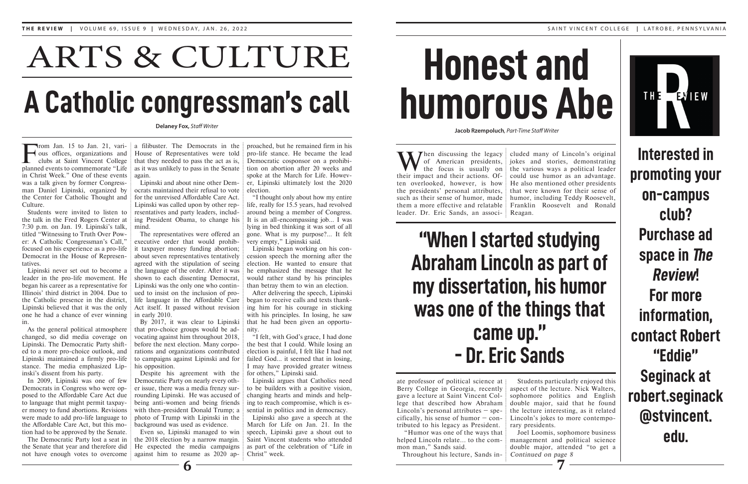SAINT VINCENT COLLEGE **|** LATROBE, PENNSYLVANIA



When discussing the legacy<br>the focus is usually on<br>their impact and their estions. Of of American presidents, their impact and their actions. Often overlooked, however, is how the presidents' personal attributes, such as their sense of humor, made them a more effective and relatable leader. Dr. Eric Sands, an associ-

ate professor of political science at Berry College in Georgia, recently gave a lecture at Saint Vincent College that described how Abraham Lincoln's personal attributes  $-$  specifically, his sense of humor  $-$  contributed to his legacy as President.

the focus is usually on the various ways a political leader cluded many of Lincoln's original jokes and stories, demonstrating could use humor as an advantage. He also mentioned other presidents that were known for their sense of humor, including Teddy Roosevelt, Franklin Roosevelt and Ronald Reagan.

"Humor was one of the ways that helped Lincoln relate... to the common man," Sands said.

**6 7** Joel Loomis, sophomore business management and political science double major, attended "to get a Continued on page 8

Throughout his lecture, Sands in-

Students particularly enjoyed this aspect of the lecture. Nick Walters, sophomore politics and English double major, said that he found the lecture interesting, as it related Lincoln's jokes to more contemporary presidents.

# **Honest and humorous Abe**

**Jacob Rzempoluch***, Part-Time Staff Writer*

Students were invited to listen to resentatives and party leaders, includ-Lipinski and about nine other Democrats maintained their refusal to vote for the unrevised Affordable Care Act. Lipinski was called upon by other rep-

the talk in the Fred Rogers Center at ing President Obama, to change his 7:30 p.m. on Jan. 19. Lipinski's talk,  $\parallel$  mind. titled "Witnessing to Truth Over Power: A Catholic Congressman's Call," focused on his experience as a pro-life Democrat in the House of Representatives.

As the general political atmosphere | that pro-choice groups would be ad-By 2017, it was clear to Lipinski vocating against him throughout 2018, before the next election. Many corporations and organizations contributed to campaigns against Lipinski and for his opposition.

Lipinski never set out to become a leader in the pro-life movement. He began his career as a representative for Lipinski was the only one who contin-Illinois' third district in 2004. Due to the Catholic presence in the district, Lipinski believed that it was the only one he had a chance of ever winning in.

changed, so did media coverage on Lipinski. The Democratic Party shifted to a more pro-choice outlook, and Lipinski maintained a firmly pro-life stance. The media emphasized Lipinski's dissent from his party.

In 2009, Lipinski was one of few Democrats in Congress who were opposed to the Affordable Care Act due to language that might permit taxpayer money to fund abortions. Revisions were made to add pro-life language to the Affordable Care Act, but this motion had to be approved by the Senate.

The Democratic Party lost a seat in the Senate that year and therefore did

House of Representatives were told that they needed to pass the act as is, as it was unlikely to pass in the Senate again.

The representatives were offered an executive order that would prohibit taxpayer money funding abortion; about seven representatives tentatively agreed with the stipulation of seeing the language of the order. After it was shown to each dissenting Democrat, ued to insist on the inclusion of prolife language in the Affordable Care Act itself. It passed without revision in early 2010.

not have enough votes to overcome against him to resume as 2020 ap-Christ" week. Even so, Lipinski managed to win the 2018 election by a narrow margin. He expected the media campaigns

Despite his agreement with the Democratic Party on nearly every other issue, there was a media frenzy surrounding Lipinski. He was accused of being anti-women and being friends with then-president Donald Trump; a photo of Trump with Lipinski in the background was used as evidence.

proached, but he remained firm in his pro-life stance. He became the lead Democratic cosponsor on a prohibition on abortion after 20 weeks and spoke at the March for Life. However, Lipinski ultimately lost the 2020 election.

"I thought only about how my entire life, really for 15.5 years, had revolved around being a member of Congress. It is an all-encompassing job... I was lying in bed thinking it was sort of all gone. What is my purpose?... It felt very empty," Lipinski said.

Lipinski began working on his concession speech the morning after the election. He wanted to ensure that he emphasized the message that he would rather stand by his principles than betray them to win an election.

After delivering the speech, Lipinski began to receive calls and texts thanking him for his courage in sticking with his principles. In losing, he saw that he had been given an opportunity.

"I felt, with God's grace, I had done the best that I could. While losing an election is painful, I felt like I had not failed God... it seemed that in losing, I may have provided greater witness for others," Lipinski said.

Lipinski argues that Catholics need to be builders with a positive vision, changing hearts and minds and helping to reach compromise, which is essential in politics and in democracy.

Lipinski also gave a speech at the March for Life on Jan. 21. In the speech, Lipinski gave a shout out to Saint Vincent students who attended as part of the celebration of "Life in

## ARTS & CULTURE

### **"When I started studying Abraham Lincoln as part of my dissertation, his humor was one of the things that came up." - Dr. Eric Sands**

### **A Catholic congressman's call**

**Delaney Fox,** *Staff Writer*

From Jan. 15 to Jan. 21, vari-<br>
ous offices, organizations and<br>
clubs at Saint Vincent College ous offices, organizations and clubs at Saint Vincent College planned events to commemorate "Life in Christ Week." One of these events was a talk given by former Congressman Daniel Lipinski, organized by the Center for Catholic Thought and Culture. **Trom Jan.** 15 to Jan. 21, vari- a filibuster. The Democrats in the

**Interested in promoting your on-campus club? Purchase ad space in The Review! For more information, contact Robert "Eddie" Seginack at robert.seginack @stvincent. edu.**